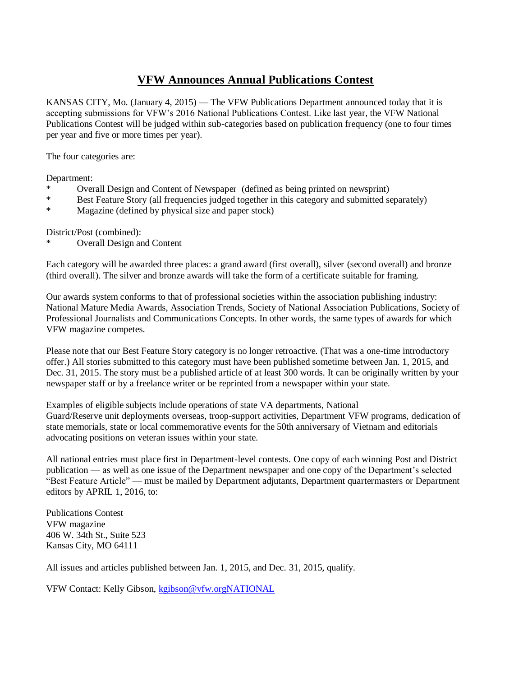## **VFW Announces Annual Publications Contest**

KANSAS CITY, Mo. (January 4, 2015) — The VFW Publications Department announced today that it is accepting submissions for VFW's 2016 National Publications Contest. Like last year, the VFW National Publications Contest will be judged within sub-categories based on publication frequency (one to four times per year and five or more times per year).

The four categories are:

Department:

- \* Overall Design and Content of Newspaper (defined as being printed on newsprint)
- \* Best Feature Story (all frequencies judged together in this category and submitted separately)
- Magazine (defined by physical size and paper stock)

District/Post (combined):

Overall Design and Content

Each category will be awarded three places: a grand award (first overall), silver (second overall) and bronze (third overall). The silver and bronze awards will take the form of a certificate suitable for framing.

Our awards system conforms to that of professional societies within the association publishing industry: National Mature Media Awards, Association Trends, Society of National Association Publications, Society of Professional Journalists and Communications Concepts. In other words, the same types of awards for which VFW magazine competes.

Please note that our Best Feature Story category is no longer retroactive. (That was a one-time introductory offer.) All stories submitted to this category must have been published sometime between Jan. 1, 2015, and Dec. 31, 2015. The story must be a published article of at least 300 words. It can be originally written by your newspaper staff or by a freelance writer or be reprinted from a newspaper within your state.

Examples of eligible subjects include operations of state VA departments, National Guard/Reserve unit deployments overseas, troop-support activities, Department VFW programs, dedication of state memorials, state or local commemorative events for the 50th anniversary of Vietnam and editorials advocating positions on veteran issues within your state.

All national entries must place first in Department-level contests. One copy of each winning Post and District publication — as well as one issue of the Department newspaper and one copy of the Department's selected "Best Feature Article" — must be mailed by Department adjutants, Department quartermasters or Department editors by APRIL 1, 2016, to:

Publications Contest VFW magazine 406 W. 34th St., Suite 523 Kansas City, MO 64111

All issues and articles published between Jan. 1, 2015, and Dec. 31, 2015, qualify.

VFW Contact: Kelly Gibson, [kgibson@vfw.orgNATIONAL](mailto:kgibson@vfw.orgNATIONAL)